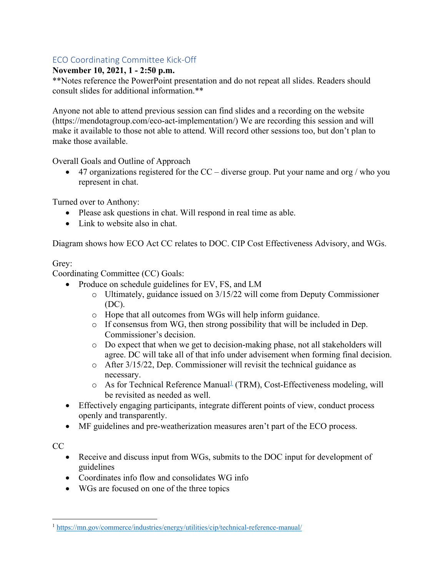### ECO Coordinating Committee Kick-Off

### **November 10, 2021, 1 - 2:50 p.m.**

\*\*Notes reference the PowerPoint presentation and do not repeat all slides. Readers should consult slides for additional information.\*\*

Anyone not able to attend previous session can find slides and a recording on the website (https://mendotagroup.com/eco-act-implementation/) We are recording this session and will make it available to those not able to attend. Will record other sessions too, but don't plan to make those available.

Overall Goals and Outline of Approach

• 47 organizations registered for the  $CC -$  diverse group. Put your name and org / who you represent in chat.

Turned over to Anthony:

- Please ask questions in chat. Will respond in real time as able.
- Link to website also in chat.

Diagram shows how ECO Act CC relates to DOC. CIP Cost Effectiveness Advisory, and WGs.

### Grey:

Coordinating Committee (CC) Goals:

- Produce on schedule guidelines for EV, FS, and LM
	- o Ultimately, guidance issued on 3/15/22 will come from Deputy Commissioner (DC).
	- o Hope that all outcomes from WGs will help inform guidance.
	- o If consensus from WG, then strong possibility that will be included in Dep. Commissioner's decision.
	- o Do expect that when we get to decision-making phase, not all stakeholders will agree. DC will take all of that info under advisement when forming final decision.
	- o After 3/15/22, Dep. Commissioner will revisit the technical guidance as necessary.
	- $\circ$  As for Technical Reference Manual<sup>1</sup> (TRM), Cost-Effectiveness modeling, will be revisited as needed as well.
- Effectively engaging participants, integrate different points of view, conduct process openly and transparently.
- MF guidelines and pre-weatherization measures aren't part of the ECO process.

 $CC$ 

- Receive and discuss input from WGs, submits to the DOC input for development of guidelines
- Coordinates info flow and consolidates WG info
- WGs are focused on one of the three topics

<sup>1</sup> https://mn.gov/commerce/industries/energy/utilities/cip/technical-reference-manual/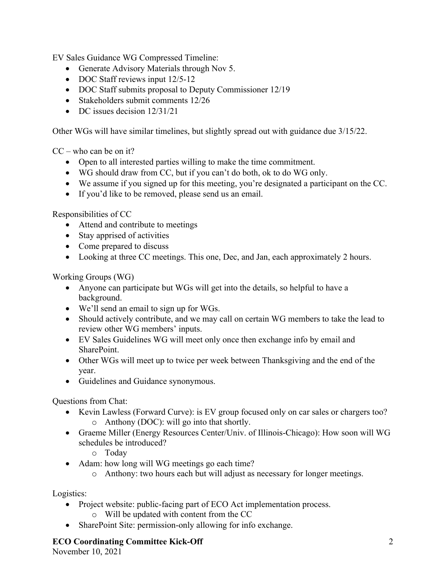EV Sales Guidance WG Compressed Timeline:

- Generate Advisory Materials through Nov 5.
- DOC Staff reviews input 12/5-12
- DOC Staff submits proposal to Deputy Commissioner 12/19
- Stakeholders submit comments 12/26
- DC issues decision  $12/31/21$

Other WGs will have similar timelines, but slightly spread out with guidance due 3/15/22.

 $CC - who can be on it?$ 

- Open to all interested parties willing to make the time commitment.
- WG should draw from CC, but if you can't do both, ok to do WG only.
- We assume if you signed up for this meeting, you're designated a participant on the CC.
- If you'd like to be removed, please send us an email.

Responsibilities of CC

- Attend and contribute to meetings
- Stay apprised of activities
- Come prepared to discuss
- Looking at three CC meetings. This one, Dec, and Jan, each approximately 2 hours.

Working Groups (WG)

- Anyone can participate but WGs will get into the details, so helpful to have a background.
- We'll send an email to sign up for WGs.
- Should actively contribute, and we may call on certain WG members to take the lead to review other WG members' inputs.
- EV Sales Guidelines WG will meet only once then exchange info by email and SharePoint.
- Other WGs will meet up to twice per week between Thanksgiving and the end of the year.
- Guidelines and Guidance synonymous.

Questions from Chat:

- Kevin Lawless (Forward Curve): is EV group focused only on car sales or chargers too? o Anthony (DOC): will go into that shortly.
- Graeme Miller (Energy Resources Center/Univ. of Illinois-Chicago): How soon will WG schedules be introduced?
	- o Today
- Adam: how long will WG meetings go each time?
	- o Anthony: two hours each but will adjust as necessary for longer meetings.

Logistics:

- Project website: public-facing part of ECO Act implementation process.
	- o Will be updated with content from the CC
- SharePoint Site: permission-only allowing for info exchange.

#### **ECO Coordinating Committee Kick-Off**

November 10, 2021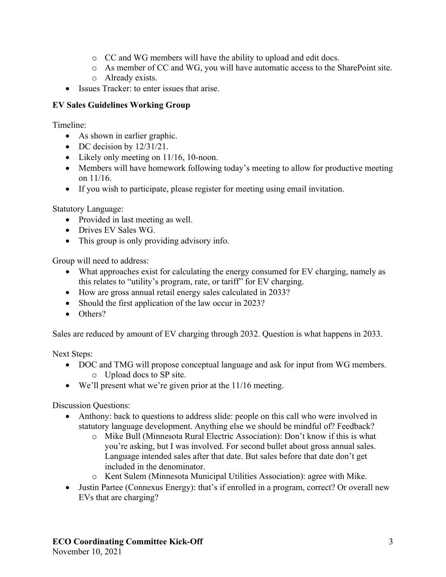- o CC and WG members will have the ability to upload and edit docs.
- o As member of CC and WG, you will have automatic access to the SharePoint site.
- o Already exists.
- Issues Tracker: to enter issues that arise.

### **EV Sales Guidelines Working Group**

Timeline:

- As shown in earlier graphic.
- DC decision by  $12/31/21$ .
- Likely only meeting on 11/16, 10-noon.
- Members will have homework following today's meeting to allow for productive meeting on 11/16.
- If you wish to participate, please register for meeting using email invitation.

Statutory Language:

- Provided in last meeting as well.
- Drives EV Sales WG.
- This group is only providing advisory info.

Group will need to address:

- What approaches exist for calculating the energy consumed for EV charging, namely as this relates to "utility's program, rate, or tariff" for EV charging.
- How are gross annual retail energy sales calculated in 2033?
- Should the first application of the law occur in 2023?
- Others?

Sales are reduced by amount of EV charging through 2032. Question is what happens in 2033.

Next Steps:

- DOC and TMG will propose conceptual language and ask for input from WG members. o Upload docs to SP site.
- We'll present what we're given prior at the 11/16 meeting.

Discussion Questions:

- Anthony: back to questions to address slide: people on this call who were involved in statutory language development. Anything else we should be mindful of? Feedback?
	- o Mike Bull (Minnesota Rural Electric Association): Don't know if this is what you're asking, but I was involved. For second bullet about gross annual sales. Language intended sales after that date. But sales before that date don't get included in the denominator.
	- o Kent Sulem (Minnesota Municipal Utilities Association): agree with Mike.
- Justin Partee (Connexus Energy): that's if enrolled in a program, correct? Or overall new EVs that are charging?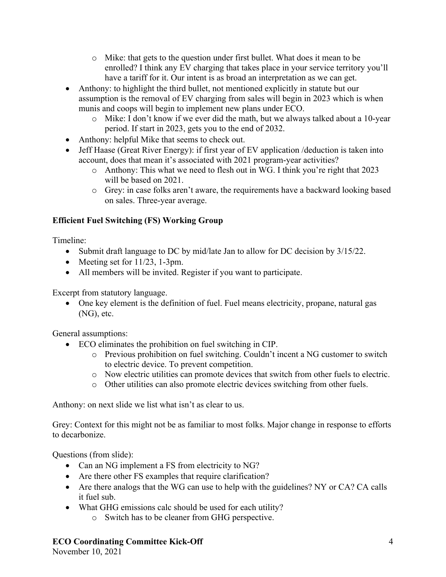- o Mike: that gets to the question under first bullet. What does it mean to be enrolled? I think any EV charging that takes place in your service territory you'll have a tariff for it. Our intent is as broad an interpretation as we can get.
- Anthony: to highlight the third bullet, not mentioned explicitly in statute but our assumption is the removal of EV charging from sales will begin in 2023 which is when munis and coops will begin to implement new plans under ECO.
	- o Mike: I don't know if we ever did the math, but we always talked about a 10-year period. If start in 2023, gets you to the end of 2032.
- Anthony: helpful Mike that seems to check out.
- Jeff Haase (Great River Energy): if first year of EV application / deduction is taken into account, does that mean it's associated with 2021 program-year activities?
	- o Anthony: This what we need to flesh out in WG. I think you're right that 2023 will be based on 2021.
	- o Grey: in case folks aren't aware, the requirements have a backward looking based on sales. Three-year average.

## **Efficient Fuel Switching (FS) Working Group**

Timeline:

- Submit draft language to DC by mid/late Jan to allow for DC decision by 3/15/22.
- Meeting set for  $11/23$ , 1-3pm.
- All members will be invited. Register if you want to participate.

Excerpt from statutory language.

• One key element is the definition of fuel. Fuel means electricity, propane, natural gas (NG), etc.

General assumptions:

- ECO eliminates the prohibition on fuel switching in CIP.
	- o Previous prohibition on fuel switching. Couldn't incent a NG customer to switch to electric device. To prevent competition.
	- o Now electric utilities can promote devices that switch from other fuels to electric.
	- o Other utilities can also promote electric devices switching from other fuels.

Anthony: on next slide we list what isn't as clear to us.

Grey: Context for this might not be as familiar to most folks. Major change in response to efforts to decarbonize.

Questions (from slide):

- Can an NG implement a FS from electricity to NG?
- Are there other FS examples that require clarification?
- Are there analogs that the WG can use to help with the guidelines? NY or CA? CA calls it fuel sub.
- What GHG emissions calc should be used for each utility?
	- o Switch has to be cleaner from GHG perspective.

### **ECO Coordinating Committee Kick-Off**

November 10, 2021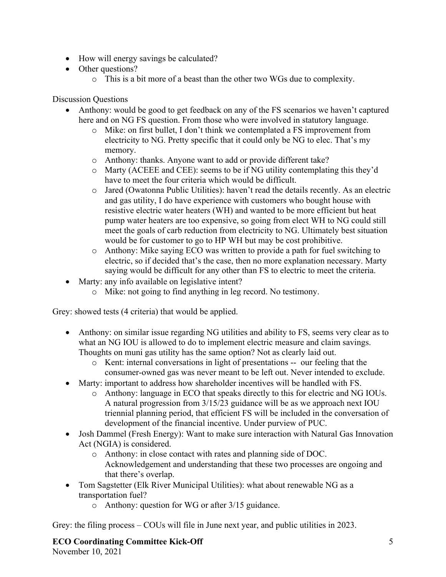- How will energy savings be calculated?
- Other questions?
	- o This is a bit more of a beast than the other two WGs due to complexity.

Discussion Questions

- Anthony: would be good to get feedback on any of the FS scenarios we haven't captured here and on NG FS question. From those who were involved in statutory language.
	- o Mike: on first bullet, I don't think we contemplated a FS improvement from electricity to NG. Pretty specific that it could only be NG to elec. That's my memory.
	- o Anthony: thanks. Anyone want to add or provide different take?
	- o Marty (ACEEE and CEE): seems to be if NG utility contemplating this they'd have to meet the four criteria which would be difficult.
	- o Jared (Owatonna Public Utilities): haven't read the details recently. As an electric and gas utility, I do have experience with customers who bought house with resistive electric water heaters (WH) and wanted to be more efficient but heat pump water heaters are too expensive, so going from elect WH to NG could still meet the goals of carb reduction from electricity to NG. Ultimately best situation would be for customer to go to HP WH but may be cost prohibitive.
	- o Anthony: Mike saying ECO was written to provide a path for fuel switching to electric, so if decided that's the case, then no more explanation necessary. Marty saying would be difficult for any other than FS to electric to meet the criteria.
- Marty: any info available on legislative intent?
	- o Mike: not going to find anything in leg record. No testimony.

Grey: showed tests (4 criteria) that would be applied.

- Anthony: on similar issue regarding NG utilities and ability to FS, seems very clear as to what an NG IOU is allowed to do to implement electric measure and claim savings. Thoughts on muni gas utility has the same option? Not as clearly laid out.
	- o Kent: internal conversations in light of presentations -- our feeling that the consumer-owned gas was never meant to be left out. Never intended to exclude.
- Marty: important to address how shareholder incentives will be handled with FS.
	- o Anthony: language in ECO that speaks directly to this for electric and NG IOUs. A natural progression from 3/15/23 guidance will be as we approach next IOU triennial planning period, that efficient FS will be included in the conversation of development of the financial incentive. Under purview of PUC.
- Josh Dammel (Fresh Energy): Want to make sure interaction with Natural Gas Innovation Act (NGIA) is considered.
	- o Anthony: in close contact with rates and planning side of DOC. Acknowledgement and understanding that these two processes are ongoing and that there's overlap.
- Tom Sagstetter (Elk River Municipal Utilities): what about renewable NG as a transportation fuel?
	- o Anthony: question for WG or after 3/15 guidance.

Grey: the filing process – COUs will file in June next year, and public utilities in 2023.

**ECO Coordinating Committee Kick-Off** November 10, 2021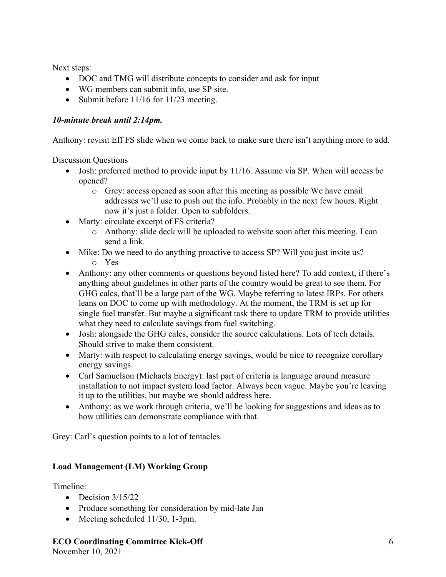Next steps:

- DOC and TMG will distribute concepts to consider and ask for input
- WG members can submit info, use SP site.
- Submit before 11/16 for 11/23 meeting.

### *10-minute break until 2:14pm.*

Anthony: revisit Eff FS slide when we come back to make sure there isn't anything more to add.

Discussion Questions

- Josh: preferred method to provide input by 11/16. Assume via SP. When will access be opened?
	- o Grey: access opened as soon after this meeting as possible We have email addresses we'll use to push out the info. Probably in the next few hours. Right now it's just a folder. Open to subfolders.
- Marty: circulate excerpt of FS criteria?
	- o Anthony: slide deck will be uploaded to website soon after this meeting. I can send a link.
- Mike: Do we need to do anything proactive to access SP? Will you just invite us? o Yes
- Anthony: any other comments or questions beyond listed here? To add context, if there's anything about guidelines in other parts of the country would be great to see them. For GHG calcs, that'll be a large part of the WG. Maybe referring to latest IRPs. For others leans on DOC to come up with methodology. At the moment, the TRM is set up for single fuel transfer. But maybe a significant task there to update TRM to provide utilities what they need to calculate savings from fuel switching.
- Josh: alongside the GHG calcs, consider the source calculations. Lots of tech details. Should strive to make them consistent.
- Marty: with respect to calculating energy savings, would be nice to recognize corollary energy savings.
- Carl Samuelson (Michaels Energy): last part of criteria is language around measure installation to not impact system load factor. Always been vague. Maybe you're leaving it up to the utilities, but maybe we should address here.
- Anthony: as we work through criteria, we'll be looking for suggestions and ideas as to how utilities can demonstrate compliance with that.

Grey: Carl's question points to a lot of tentacles.

### **Load Management (LM) Working Group**

Timeline:

- Decision  $3/15/22$
- Produce something for consideration by mid-late Jan
- Meeting scheduled 11/30, 1-3pm.

# **ECO Coordinating Committee Kick-Off**

November 10, 2021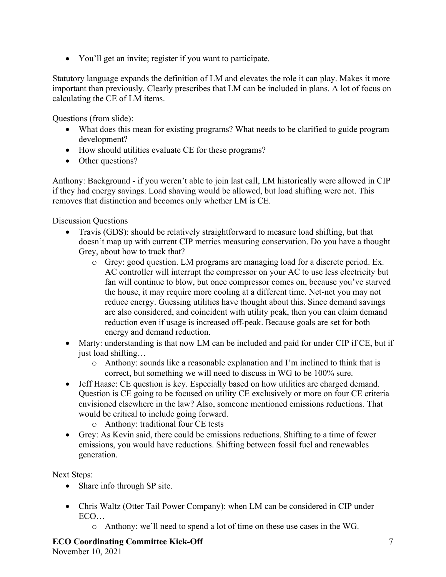• You'll get an invite; register if you want to participate.

Statutory language expands the definition of LM and elevates the role it can play. Makes it more important than previously. Clearly prescribes that LM can be included in plans. A lot of focus on calculating the CE of LM items.

Questions (from slide):

- What does this mean for existing programs? What needs to be clarified to guide program development?
- How should utilities evaluate CE for these programs?
- Other questions?

Anthony: Background - if you weren't able to join last call, LM historically were allowed in CIP if they had energy savings. Load shaving would be allowed, but load shifting were not. This removes that distinction and becomes only whether LM is CE.

Discussion Questions

- Travis (GDS): should be relatively straightforward to measure load shifting, but that doesn't map up with current CIP metrics measuring conservation. Do you have a thought Grey, about how to track that?
	- o Grey: good question. LM programs are managing load for a discrete period. Ex. AC controller will interrupt the compressor on your AC to use less electricity but fan will continue to blow, but once compressor comes on, because you've starved the house, it may require more cooling at a different time. Net-net you may not reduce energy. Guessing utilities have thought about this. Since demand savings are also considered, and coincident with utility peak, then you can claim demand reduction even if usage is increased off-peak. Because goals are set for both energy and demand reduction.
- Marty: understanding is that now LM can be included and paid for under CIP if CE, but if just load shifting…
	- $\circ$  Anthony: sounds like a reasonable explanation and I'm inclined to think that is correct, but something we will need to discuss in WG to be 100% sure.
- Jeff Haase: CE question is key. Especially based on how utilities are charged demand. Question is CE going to be focused on utility CE exclusively or more on four CE criteria envisioned elsewhere in the law? Also, someone mentioned emissions reductions. That would be critical to include going forward.
	- o Anthony: traditional four CE tests
- Grey: As Kevin said, there could be emissions reductions. Shifting to a time of fewer emissions, you would have reductions. Shifting between fossil fuel and renewables generation.

Next Steps:

- Share info through SP site.
- Chris Waltz (Otter Tail Power Company): when LM can be considered in CIP under ECO…
	- o Anthony: we'll need to spend a lot of time on these use cases in the WG.

**ECO Coordinating Committee Kick-Off** November 10, 2021